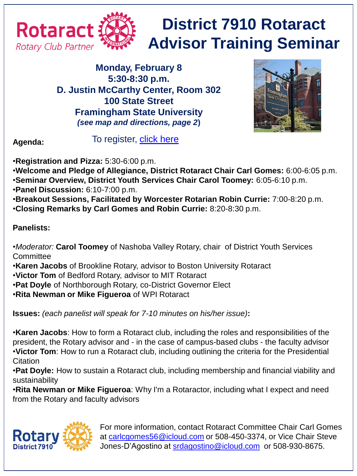

## **District 7910 Rotaract Advisor Training Seminar**

**Monday, February 8 5:30-8:30 p.m. D. Justin McCarthy Center, Room 302 100 State Street Framingham State University** *(see map and directions, page 2***)**



**Agenda:**

To register, [click here](http://rotary7910.org/event/district-rotaract-advisor-training-seminar-2/)

•**Registration and Pizza:** 5:30-6:00 p.m.

- •**Welcome and Pledge of Allegiance, District Rotaract Chair Carl Gomes:** 6:00-6:05 p.m.
- •**Seminar Overview, District Youth Services Chair Carol Toomey:** 6:05-6:10 p.m.
- •**Panel Discussion:** 6:10-7:00 p.m.
- •**Breakout Sessions, Facilitated by Worcester Rotarian Robin Currie:** 7:00-8:20 p.m.
- •**Closing Remarks by Carl Gomes and Robin Currie:** 8:20-8:30 p.m.

## **Panelists:**

- •*Moderator:* **Carol Toomey** of Nashoba Valley Rotary, chair of District Youth Services **Committee**
- •**Karen Jacobs** of Brookline Rotary, advisor to Boston University Rotaract
- •**Victor Tom** of Bedford Rotary, advisor to MIT Rotaract
- •**Pat Doyle** of Northborough Rotary, co-District Governor Elect
- •**Rita Newman or Mike Figueroa** of WPI Rotaract

**Issues:** *(each panelist will speak for 7-10 minutes on his/her issue)***:**

•**Karen Jacobs**: How to form a Rotaract club, including the roles and responsibilities of the president, the Rotary advisor and - in the case of campus-based clubs - the faculty advisor •**Victor Tom**: How to run a Rotaract club, including outlining the criteria for the Presidential Citation

•**Pat Doyle:** How to sustain a Rotaract club, including membership and financial viability and sustainability

•**Rita Newman or Mike Figueroa**: Why I'm a Rotaractor, including what I expect and need from the Rotary and faculty advisors



For more information, contact Rotaract Committee Chair Carl Gomes at [carlcgomes56@icloud.com](mailto:carlcgomes56@icloud.com) or 508-450-3374, or Vice Chair Steve Jones-D'Agostino at [srdagostino@icloud.com](mailto:srdagostino@icloud.com) or 508-930-8675.